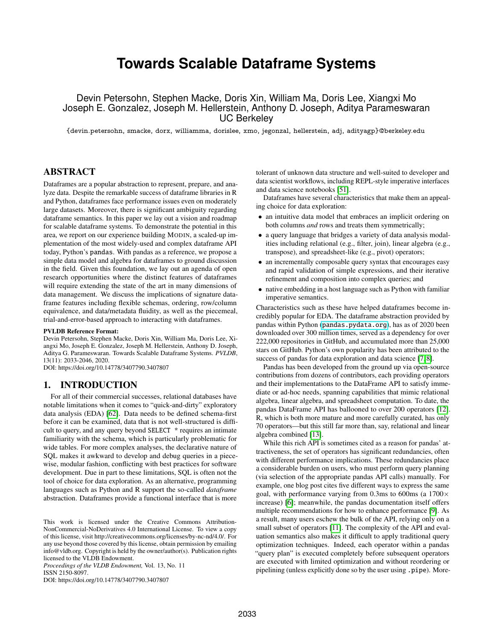# **Towards Scalable Dataframe Systems**

Devin Petersohn, Stephen Macke, Doris Xin, William Ma, Doris Lee, Xiangxi Mo Joseph E. Gonzalez, Joseph M. Hellerstein, Anthony D. Joseph, Aditya Parameswaran UC Berkeley

{devin.petersohn, smacke, dorx, williamma, dorislee, xmo, jegonzal, hellerstein, adj, adityagp}@berkeley.edu

## ABSTRACT

Dataframes are a popular abstraction to represent, prepare, and analyze data. Despite the remarkable success of dataframe libraries in R and Python, dataframes face performance issues even on moderately large datasets. Moreover, there is significant ambiguity regarding dataframe semantics. In this paper we lay out a vision and roadmap for scalable dataframe systems. To demonstrate the potential in this area, we report on our experience building MODIN, a scaled-up implementation of the most widely-used and complex dataframe API today, Python's pandas. With pandas as a reference, we propose a simple data model and algebra for dataframes to ground discussion in the field. Given this foundation, we lay out an agenda of open research opportunities where the distinct features of dataframes will require extending the state of the art in many dimensions of data management. We discuss the implications of signature dataframe features including flexible schemas, ordering, row/column equivalence, and data/metadata fluidity, as well as the piecemeal, trial-and-error-based approach to interacting with dataframes.

#### PVLDB Reference Format:

Devin Petersohn, Stephen Macke, Doris Xin, William Ma, Doris Lee, Xiangxi Mo, Joseph E. Gonzalez, Joseph M. Hellerstein, Anthony D. Joseph, Aditya G. Parameswaran. Towards Scalable Dataframe Systems. *PVLDB*, 13(11): 2033-2046, 2020.

DOI: https://doi.org/10.14778/3407790.3407807

## 1. INTRODUCTION

For all of their commercial successes, relational databases have notable limitations when it comes to "quick-and-dirty" exploratory data analysis (EDA) [\[62\]](#page-13-0). Data needs to be defined schema-first before it can be examined, data that is not well-structured is difficult to query, and any query beyond SELECT \* requires an intimate familiarity with the schema, which is particularly problematic for wide tables. For more complex analyses, the declarative nature of SQL makes it awkward to develop and debug queries in a piecewise, modular fashion, conflicting with best practices for software development. Due in part to these limitations, SQL is often not the tool of choice for data exploration. As an alternative, programming languages such as Python and R support the so-called *dataframe* abstraction. Dataframes provide a functional interface that is more

*Proceedings of the VLDB Endowment,* Vol. 13, No. 11 ISSN 2150-8097.

DOI: https://doi.org/10.14778/3407790.3407807

tolerant of unknown data structure and well-suited to developer and data scientist workflows, including REPL-style imperative interfaces and data science notebooks [\[51\]](#page-13-1).

Dataframes have several characteristics that make them an appealing choice for data exploration:

- an intuitive data model that embraces an implicit ordering on both columns *and* rows and treats them symmetrically;
- a query language that bridges a variety of data analysis modalities including relational (e.g., filter, join), linear algebra (e.g., transpose), and spreadsheet-like (e.g., pivot) operators;
- an incrementally composable query syntax that encourages easy and rapid validation of simple expressions, and their iterative refinement and composition into complex queries; and
- native embedding in a host language such as Python with familiar imperative semantics.

Characteristics such as these have helped dataframes become incredibly popular for EDA. The dataframe abstraction provided by pandas within Python (<pandas.pydata.org>), has as of 2020 been downloaded over 300 million times, served as a dependency for over 222,000 repositories in GitHub, and accumulated more than 25,000 stars on GitHub. Python's own popularity has been attributed to the success of pandas for data exploration and data science [\[7,](#page-12-0) [8\]](#page-12-1).

Pandas has been developed from the ground up via open-source contributions from dozens of contributors, each providing operators and their implementations to the DataFrame API to satisfy immediate or ad-hoc needs, spanning capabilities that mimic relational algebra, linear algebra, and spreadsheet computation. To date, the pandas DataFrame API has ballooned to over 200 operators [\[12\]](#page-12-2). R, which is both more mature and more carefully curated, has only 70 operators—but this still far more than, say, relational and linear algebra combined [\[13\]](#page-12-3).

While this rich API is sometimes cited as a reason for pandas' attractiveness, the set of operators has significant redundancies, often with different performance implications. These redundancies place a considerable burden on users, who must perform query planning (via selection of the appropriate pandas API calls) manually. For example, one blog post cites five different ways to express the same goal, with performance varying from 0.3ms to 600ms (a 1700× increase) [\[6\]](#page-12-4); meanwhile, the pandas documentation itself offers multiple recommendations for how to enhance performance [\[9\]](#page-12-5). As a result, many users eschew the bulk of the API, relying only on a small subset of operators [\[11\]](#page-12-6). The complexity of the API and evaluation semantics also makes it difficult to apply traditional query optimization techniques. Indeed, each operator within a pandas "query plan" is executed completely before subsequent operators are executed with limited optimization and without reordering or pipelining (unless explicitly done so by the user using .pipe). More-

This work is licensed under the Creative Commons Attribution-NonCommercial-NoDerivatives 4.0 International License. To view a copy of this license, visit http://creativecommons.org/licenses/by-nc-nd/4.0/. For any use beyond those covered by this license, obtain permission by emailing info@vldb.org. Copyright is held by the owner/author(s). Publication rights licensed to the VLDB Endowment.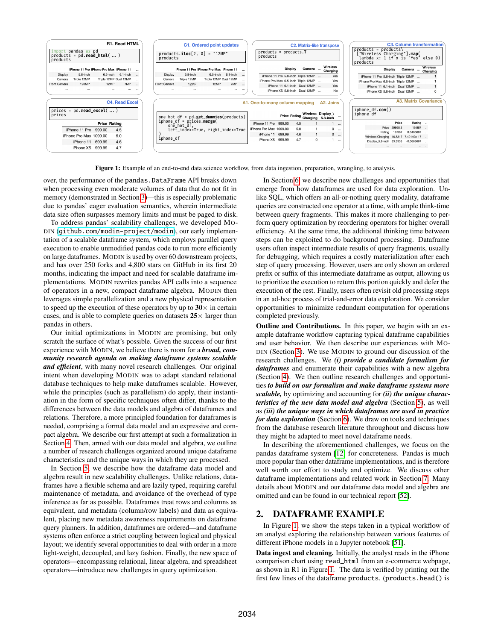<span id="page-1-0"></span>

Figure 1: Example of an end-to-end data science workflow, from data ingestion, preparation, wrangling, to analysis.

over, the performance of the pandas.DataFrame API breaks down when processing even moderate volumes of data that do not fit in memory (demonstrated in Section [3\)](#page-2-0)—this is especially problematic due to pandas' eager evaluation semantics, wherein intermediate data size often surpasses memory limits and must be paged to disk.

To address pandas' scalability challenges, we developed MO-DIN (<github.com/modin-project/modin>), our early implementation of a scalable dataframe system, which employs parallel query execution to enable unmodified pandas code to run more efficiently on large dataframes. MODIN is used by over 60 downstream projects, and has over 250 forks and 4,800 stars on GitHub in its first 20 months, indicating the impact and need for scalable dataframe implementations. MODIN rewrites pandas API calls into a sequence of operators in a new, compact dataframe algebra. MODIN then leverages simple parallelization and a new physical representation to speed up the execution of these operators by up to  $30 \times$  in certain cases, and is able to complete queries on datasets  $25 \times$  larger than pandas in others.

Our initial optimizations in MODIN are promising, but only scratch the surface of what's possible. Given the success of our first experience with MODIN, we believe there is room for a *broad, community research agenda on making dataframe systems scalable and efficient*, with many novel research challenges. Our original intent when developing MODIN was to adapt standard relational database techniques to help make dataframes scalable. However, while the principles (such as parallelism) do apply, their instantiation in the form of specific techniques often differ, thanks to the differences between the data models and algebra of dataframes and relations. Therefore, a more principled foundation for dataframes is needed, comprising a formal data model and an expressive and compact algebra. We describe our first attempt at such a formalization in Section [4.](#page-3-0) Then, armed with our data model and algebra, we outline a number of research challenges organized around unique dataframe characteristics and the unique ways in which they are processed.

In Section [5,](#page-6-0) we describe how the dataframe data model and algebra result in new scalability challenges. Unlike relations, dataframes have a flexible schema and are lazily typed, requiring careful maintenance of metadata, and avoidance of the overhead of type inference as far as possible. Dataframes treat rows and columns as equivalent, and metadata (column/row labels) and data as equivalent, placing new metadata awareness requirements on dataframe query planners. In addition, dataframes are ordered—and dataframe systems often enforce a strict coupling between logical and physical layout; we identify several opportunities to deal with order in a more light-weight, decoupled, and lazy fashion. Finally, the new space of operators—encompassing relational, linear algebra, and spreadsheet operators—introduce new challenges in query optimization.

In Section [6,](#page-8-0) we describe new challenges and opportunities that emerge from how dataframes are used for data exploration. Unlike SQL, which offers an all-or-nothing query modality, dataframe queries are constructed one operator at a time, with ample think-time between query fragments. This makes it more challenging to perform query optimization by reordering operators for higher overall efficiency. At the same time, the additional thinking time between steps can be exploited to do background processing. Dataframe users often inspect intermediate results of query fragments, usually for debugging, which requires a costly materialization after each step of query processing. However, users are only shown an ordered prefix or suffix of this intermediate dataframe as output, allowing us to prioritize the execution to return this portion quickly and defer the execution of the rest. Finally, users often revisit old processing steps in an ad-hoc process of trial-and-error data exploration. We consider opportunities to minimize redundant computation for operations completed previously.

Outline and Contributions. In this paper, we begin with an example dataframe workflow capturing typical dataframe capabilities and user behavior. We then describe our experiences with MO-DIN (Section [3\)](#page-2-0). We use MODIN to ground our discussion of the research challenges. We *(i) provide a candidate formalism for dataframes* and enumerate their capabilities with a new algebra (Section [4\)](#page-3-0). We then outline research challenges and opportunities *to build on our formalism and make dataframe systems more scalable,* by optimizing and accounting for *(ii) the unique characteristics of the new data model and algebra* (Section [5\)](#page-6-0), as well as *(iii) the unique ways in which dataframes are used in practice for data exploration* (Section [6\)](#page-8-0). We draw on tools and techniques from the database research literature throughout and discuss how they might be adapted to meet novel dataframe needs.

In describing the aforementioned challenges, we focus on the pandas dataframe system [\[12\]](#page-12-2) for concreteness. Pandas is much more popular than other dataframe implementations, and is therefore well worth our effort to study and optimize. We discuss other dataframe implementations and related work in Section [7.](#page-11-0) Many details about MODIN and our dataframe data model and algebra are omitted and can be found in our technical report [\[52\]](#page-13-2).

# <span id="page-1-1"></span>2. DATAFRAME EXAMPLE

In Figure [1,](#page-1-0) we show the steps taken in a typical workflow of an analyst exploring the relationship between various features of different iPhone models in a Jupyter notebook [\[51\]](#page-13-1).

Data ingest and cleaning. Initially, the analyst reads in the iPhone comparison chart using read\_html from an e-commerce webpage, as shown in R1 in Figure [1.](#page-1-0) The data is verified by printing out the first few lines of the dataframe products. (products.head() is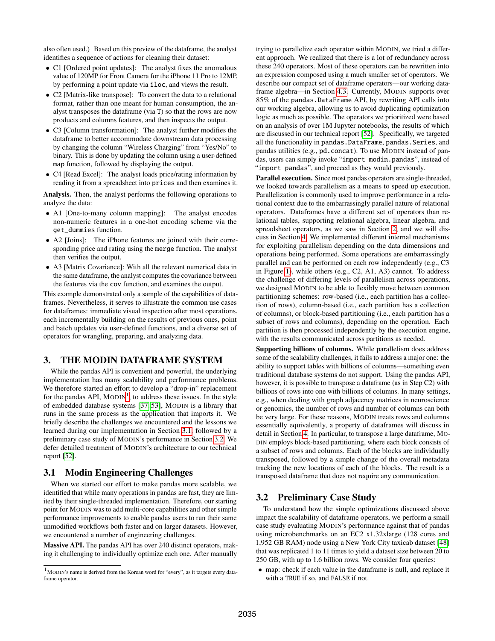also often used.) Based on this preview of the dataframe, the analyst identifies a sequence of actions for cleaning their dataset:

- C1 [Ordered point updates]: The analyst fixes the anomalous value of 120MP for Front Camera for the iPhone 11 Pro to 12MP, by performing a point update via iloc, and views the result.
- C2 [Matrix-like transpose]: To convert the data to a relational format, rather than one meant for human consumption, the analyst transposes the dataframe (via T) so that the rows are now products and columns features, and then inspects the output.
- C3 [Column transformation]: The analyst further modifies the dataframe to better accommodate downstream data processing by changing the column "Wireless Charging" from "Yes/No" to binary. This is done by updating the column using a user-defined map function, followed by displaying the output.
- C4 [Read Excel]: The analyst loads price/rating information by reading it from a spreadsheet into prices and then examines it.

Analysis. Then, the analyst performs the following operations to analyze the data:

- A1 [One-to-many column mapping]: The analyst encodes non-numeric features in a one-hot encoding scheme via the get\_dummies function.
- A2 [Joins]: The iPhone features are joined with their corresponding price and rating using the merge function. The analyst then verifies the output.
- A3 [Matrix Covariance]: With all the relevant numerical data in the same dataframe, the analyst computes the covariance between the features via the cov function, and examines the output.

This example demonstrated only a sample of the capabilities of dataframes. Nevertheless, it serves to illustrate the common use cases for dataframes: immediate visual inspection after most operations, each incrementally building on the results of previous ones, point and batch updates via user-defined functions, and a diverse set of operators for wrangling, preparing, and analyzing data.

# <span id="page-2-0"></span>3. THE MODIN DATAFRAME SYSTEM

While the pandas API is convenient and powerful, the underlying implementation has many scalability and performance problems. We therefore started an effort to develop a "drop-in" replacement for the pandas API,  $MODIN<sup>1</sup>$  $MODIN<sup>1</sup>$  $MODIN<sup>1</sup>$ , to address these issues. In the style of embedded database systems [\[37,](#page-13-3) [53\]](#page-13-4), MODIN is a library that runs in the same process as the application that imports it. We briefly describe the challenges we encountered and the lessons we learned during our implementation in Section [3.1,](#page-2-2) followed by a preliminary case study of MODIN's performance in Section [3.2.](#page-2-3) We defer detailed treatment of MODIN's architecture to our technical report [\[52\]](#page-13-2).

# <span id="page-2-2"></span>3.1 Modin Engineering Challenges

When we started our effort to make pandas more scalable, we identified that while many operations in pandas are fast, they are limited by their single-threaded implementation. Therefore, our starting point for MODIN was to add multi-core capabilities and other simple performance improvements to enable pandas users to run their same unmodified workflows both faster and on larger datasets. However, we encountered a number of engineering challenges.

Massive API. The pandas API has over 240 distinct operators, making it challenging to individually optimize each one. After manually

trying to parallelize each operator within MODIN, we tried a different approach. We realized that there is a lot of redundancy across these 240 operators. Most of these operators can be rewritten into an expression composed using a much smaller set of operators. We describe our compact set of dataframe operators—our working dataframe algebra—in Section [4.3.](#page-4-0) Currently, MODIN supports over 85% of the pandas.DataFrame API, by rewriting API calls into our working algebra, allowing us to avoid duplicating optimization logic as much as possible. The operators we prioritized were based on an analysis of over 1M Jupyter notebooks, the results of which are discussed in our technical report [\[52\]](#page-13-2). Specifically, we targeted all the functionality in pandas.DataFrame, pandas.Series, and pandas utilities (e.g., pd.concat). To use MODIN instead of pandas, users can simply invoke "import modin.pandas", instead of "import pandas", and proceed as they would previously.

Parallel execution. Since most pandas operators are single-threaded, we looked towards parallelism as a means to speed up execution. Parallelization is commonly used to improve performance in a relational context due to the embarrassingly parallel nature of relational operators. Dataframes have a different set of operators than relational tables, supporting relational algebra, linear algebra, and spreadsheet operators, as we saw in Section [2,](#page-1-1) and we will discuss in Section [4.](#page-3-0) We implemented different internal mechanisms for exploiting parallelism depending on the data dimensions and operations being performed. Some operations are embarrassingly parallel and can be performed on each row independently (e.g., C3 in Figure [1\)](#page-1-0), while others (e.g., C2, A1, A3) cannot. To address the challenge of differing levels of parallelism across operations, we designed MODIN to be able to flexibly move between common partitioning schemes: row-based (i.e., each partition has a collection of rows), column-based (i.e., each partition has a collection of columns), or block-based partitioning (i.e., each partition has a subset of rows and columns), depending on the operation. Each partition is then processed independently by the execution engine, with the results communicated across partitions as needed.

Supporting billions of columns. While parallelism does address some of the scalability challenges, it fails to address a major one: the ability to support tables with billions of columns—something even traditional database systems do not support. Using the pandas API, however, it is possible to transpose a dataframe (as in Step C2) with billions of rows into one with billions of columns. In many settings, e.g., when dealing with graph adjacency matrices in neuroscience or genomics, the number of rows and number of columns can both be very large. For these reasons, MODIN treats rows and columns essentially equivalently, a property of dataframes will discuss in detail in Section [4.](#page-3-0) In particular, to transpose a large dataframe, MO-DIN employs block-based partitioning, where each block consists of a subset of rows and columns. Each of the blocks are individually transposed, followed by a simple change of the overall metadata tracking the new locations of each of the blocks. The result is a transposed dataframe that does not require any communication.

# <span id="page-2-3"></span>3.2 Preliminary Case Study

To understand how the simple optimizations discussed above impact the scalability of dataframe operators, we perform a small case study evaluating MODIN's performance against that of pandas using microbenchmarks on an EC2 x1.32xlarge (128 cores and 1,952 GB RAM) node using a New York City taxicab dataset [\[48\]](#page-13-5) that was replicated 1 to 11 times to yield a dataset size between 20 to 250 GB, with up to 1.6 billion rows. We consider four queries:

• map: check if each value in the dataframe is null, and replace it with a TRUE if so, and FALSE if not.

<span id="page-2-1"></span> $1$ MODIN's name is derived from the Korean word for "every", as it targets every dataframe operator.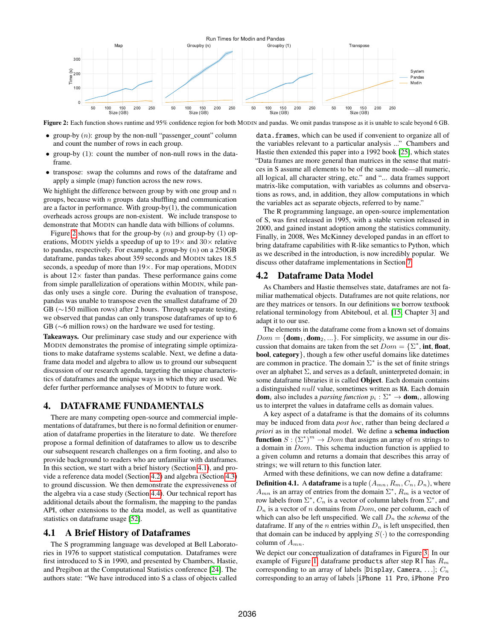<span id="page-3-1"></span>

Figure 2: Each function shows runtime and 95% confidence region for both MODIN and pandas. We omit pandas transpose as it is unable to scale beyond 6 GB.

- group-by  $(n)$ : group by the non-null "passenger\_count" column and count the number of rows in each group.
- group-by (1): count the number of non-null rows in the dataframe.
- transpose: swap the columns and rows of the dataframe and apply a simple (map) function across the new rows.

We highlight the difference between group by with one group and  $n$ groups, because with  $n$  groups data shuffling and communication are a factor in performance. With group-by $(1)$ , the communication overheads across groups are non-existent. We include transpose to demonstrate that MODIN can handle data with billions of columns.

Figure [2](#page-3-1) shows that for the group-by  $(n)$  and group-by  $(1)$  operations, MODIN yields a speedup of up to  $19\times$  and  $30\times$  relative to pandas, respectively. For example, a group-by  $(n)$  on a 250GB dataframe, pandas takes about 359 seconds and MODIN takes 18.5 seconds, a speedup of more than  $19\times$ . For map operations, MODIN is about  $12\times$  faster than pandas. These performance gains come from simple parallelization of operations within MODIN, while pandas only uses a single core. During the evaluation of transpose, pandas was unable to transpose even the smallest dataframe of 20 GB (∼150 million rows) after 2 hours. Through separate testing, we observed that pandas can only transpose dataframes of up to 6 GB (∼6 million rows) on the hardware we used for testing.

Takeaways. Our preliminary case study and our experience with MODIN demonstrates the promise of integrating simple optimizations to make dataframe systems scalable. Next, we define a dataframe data model and algebra to allow us to ground our subsequent discussion of our research agenda, targeting the unique characteristics of dataframes and the unique ways in which they are used. We defer further performance analyses of MODIN to future work.

#### <span id="page-3-0"></span>4. DATAFRAME FUNDAMENTALS

There are many competing open-source and commercial implementations of dataframes, but there is no formal definition or enumeration of dataframe properties in the literature to date. We therefore propose a formal definition of dataframes to allow us to describe our subsequent research challenges on a firm footing, and also to provide background to readers who are unfamiliar with dataframes. In this section, we start with a brief history (Section [4.1\)](#page-3-2), and provide a reference data model (Section [4.2\)](#page-3-3) and algebra (Section [4.3\)](#page-4-0) to ground discussion. We then demonstrate the expressiveness of the algebra via a case study (Section [4.4\)](#page-5-0). Our technical report has additional details about the formalism, the mapping to the pandas API, other extensions to the data model, as well as quantitative statistics on dataframe usage [\[52\]](#page-13-2).

#### <span id="page-3-2"></span>4.1 A Brief History of Dataframes

The S programming language was developed at Bell Laboratories in 1976 to support statistical computation. Dataframes were first introduced to S in 1990, and presented by Chambers, Hastie, and Pregibon at the Computational Statistics conference [\[24\]](#page-12-7). The authors state: "We have introduced into S a class of objects called

data.frames, which can be used if convenient to organize all of the variables relevant to a particular analysis ..." Chambers and Hastie then extended this paper into a 1992 book [\[25\]](#page-12-8), which states "Data frames are more general than matrices in the sense that matrices in S assume all elements to be of the same mode—all numeric, all logical, all character string, etc." and "... data frames support matrix-like computation, with variables as columns and observations as rows, and, in addition, they allow computations in which the variables act as separate objects, referred to by name."

The R programming language, an open-source implementation of S, was first released in 1995, with a stable version released in 2000, and gained instant adoption among the statistics community. Finally, in 2008, Wes McKinney developed pandas in an effort to bring dataframe capabilities with R-like semantics to Python, which as we described in the introduction, is now incredibly popular. We discuss other dataframe implementations in Section [7.](#page-11-0)

### <span id="page-3-3"></span>4.2 Dataframe Data Model

As Chambers and Hastie themselves state, dataframes are not familiar mathematical objects. Dataframes are not quite relations, nor are they matrices or tensors. In our definitions we borrow textbook relational terminology from Abiteboul, et al. [\[15,](#page-12-9) Chapter 3] and adapt it to our use.

The elements in the dataframe come from a known set of domains  $Dom = \{dom_1, dom_2, ...\}$ . For simplicity, we assume in our discussion that domains are taken from the set  $Dom = {\Sigma^*}$ , int, float, bool, category}, though a few other useful domains like datetimes are common in practice. The domain  $\Sigma^*$  is the set of finite strings over an alphabet  $\Sigma$ , and serves as a default, uninterpreted domain; in some dataframe libraries it is called Object. Each domain contains a distinguished null value, sometimes written as NA. Each domain **dom**<sub>i</sub> also includes a *parsing function*  $p_i : \Sigma^* \to \textbf{dom}_i$ , allowing us to interpret the values in dataframe cells as domain values.

A key aspect of a dataframe is that the domains of its columns may be induced from data *post hoc*, rather than being declared *a priori* as in the relational model. We define a schema induction **function**  $S : (\Sigma^*)^m \to Dom$  that assigns an array of m strings to a domain in Dom. This schema induction function is applied to a given column and returns a domain that describes this array of strings; we will return to this function later.

Armed with these definitions, we can now define a dataframe:

**Definition 4.1.** A dataframe is a tuple  $(A_{mn}, R_m, C_n, D_n)$ , where  $A_{mn}$  is an array of entries from the domain  $\Sigma^*$ ,  $R_m$  is a vector of row labels from  $\Sigma^*$ ,  $C_n$  is a vector of column labels from  $\Sigma^*$ , and  $D_n$  is a vector of n domains from  $Dom$ , one per column, each of which can also be left unspecified. We call  $D_n$  the *schema* of the dataframe. If any of the *n* entries within  $D_n$  is left unspecified, then that domain can be induced by applying  $S(\cdot)$  to the corresponding column of  $A_{mn}$ .

We depict our conceptualization of dataframes in Figure [3.](#page-4-1) In our example of Figure [1,](#page-1-0) dataframe products after step R1 has  $R_m$ corresponding to an array of labels [Display, Camera, ...];  $C_n$ corresponding to an array of labels [iPhone 11 Pro, iPhone Pro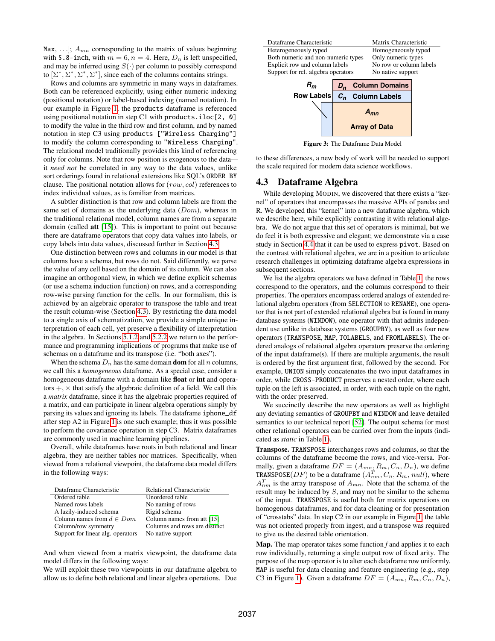Max, ...];  $A_{mn}$  corresponding to the matrix of values beginning with 5.8-inch, with  $m = 6$ ,  $n = 4$ . Here,  $D_n$  is left unspecified, and may be inferred using  $S(\cdot)$  per column to possibly correspond to  $[\Sigma^*, \Sigma^*, \Sigma^*, \Sigma^*]$ , since each of the columns contains strings.

Rows and columns are symmetric in many ways in dataframes. Both can be referenced explicitly, using either numeric indexing (positional notation) or label-based indexing (named notation). In our example in Figure [1,](#page-1-0) the products dataframe is referenced using positional notation in step C1 with products.iloc[2, 0] to modify the value in the third row and first column, and by named notation in step C3 using products ["Wireless Charging"] to modify the column corresponding to "Wireless Charging". The relational model traditionally provides this kind of referencing only for columns. Note that row position is exogenous to the data it *need not* be correlated in any way to the data values, unlike sort orderings found in relational extensions like SQL's ORDER BY clause. The positional notation allows for (row, col) references to index individual values, as is familiar from matrices.

A subtler distinction is that row and column labels are from the same set of domains as the underlying data  $(Dom)$ , whereas in the traditional relational model, column names are from a separate domain (called att [\[15\]](#page-12-9)). This is important to point out because there are dataframe operators that copy data values into labels, or copy labels into data values, discussed further in Section [4.3.](#page-4-0)

One distinction between rows and columns in our model is that columns have a schema, but rows do not. Said differently, we parse the value of any cell based on the domain of its column. We can also imagine an orthogonal view, in which we define explicit schemas (or use a schema induction function) on rows, and a corresponding row-wise parsing function for the cells. In our formalism, this is achieved by an algebraic operator to transpose the table and treat the result column-wise (Section [4.3\)](#page-4-0). By restricting the data model to a single axis of schematization, we provide a simple unique interpretation of each cell, yet preserve a flexibility of interpretation in the algebra. In Sections [5.1.2](#page-6-1) and [5.2.2](#page-7-0) we return to the performance and programming implications of programs that make use of schemas on a dataframe and its transpose (i.e. "both axes").

When the schema  $D_n$  has the same domain **dom** for all n columns, we call this a *homogeneous* dataframe. As a special case, consider a homogeneous dataframe with a domain like **float** or **int** and operators  $+$ ,  $\times$  that satisfy the algebraic definition of a field. We call this a *matrix* dataframe, since it has the algebraic properties required of a matrix, and can participate in linear algebra operations simply by parsing its values and ignoring its labels. The dataframe iphone\_df after step A2 in Figure [1](#page-1-0) is one such example; thus it was possible to perform the covariance operation in step C3. Matrix dataframes are commonly used in machine learning pipelines.

Overall, while dataframes have roots in both relational and linear algebra, they are neither tables nor matrices. Specifically, when viewed from a relational viewpoint, the dataframe data model differs in the following ways:

| Dataframe Characteristic          | <b>Relational Characteristic</b> |
|-----------------------------------|----------------------------------|
| Ordered table                     | Unordered table                  |
| Named rows labels                 | No naming of rows                |
| A lazily-induced schema           | Rigid schema                     |
| Column names from $d\in Dom$      | Column names from att [15]       |
| Column/row symmetry               | Columns and rows are distinct    |
| Support for linear alg. operators | No native support                |

And when viewed from a matrix viewpoint, the dataframe data model differs in the following ways:

We will exploit these two viewpoints in our dataframe algebra to allow us to define both relational and linear algebra operations. Due

<span id="page-4-1"></span>

Figure 3: The Dataframe Data Model

**Array of Data**

to these differences, a new body of work will be needed to support the scale required for modern data science workflows.

#### <span id="page-4-0"></span>4.3 Dataframe Algebra

While developing MODIN, we discovered that there exists a "kernel" of operators that encompasses the massive APIs of pandas and R. We developed this "kernel" into a new dataframe algebra, which we describe here, while explicitly contrasting it with relational algebra. We do not argue that this set of operators is minimal, but we do feel it is both expressive and elegant; we demonstrate via a case study in Section [4.4](#page-5-0) that it can be used to express pivot. Based on the contrast with relational algebra, we are in a position to articulate research challenges in optimizing dataframe algebra expressions in subsequent sections.

We list the algebra operators we have defined in Table [1:](#page-5-1) the rows correspond to the operators, and the columns correspond to their properties. The operators encompass ordered analogs of extended relational algebra operators (from SELECTION to RENAME), one operator that is not part of extended relational algebra but is found in many database systems (WINDOW), one operator with that admits independent use unlike in database systems (GROUPBY), as well as four new operators (TRANSPOSE, MAP, TOLABELS, and FROMLABELS). The ordered analogs of relational algebra operators preserve the ordering of the input dataframe(s). If there are multiple arguments, the result is ordered by the first argument first, followed by the second. For example, UNION simply concatenates the two input dataframes in order, while CROSS-PRODUCT preserves a nested order, where each tuple on the left is associated, in order, with each tuple on the right, with the order preserved.

We succinctly describe the new operators as well as highlight any deviating semantics of GROUPBY and WINDOW and leave detailed semantics to our technical report [\[52\]](#page-13-2). The output schema for most other relational operators can be carried over from the inputs (indicated as *static* in Table [1\)](#page-5-1).

Transpose. TRANSPOSE interchanges rows and columns, so that the columns of the dataframe become the rows, and vice-versa. Formally, given a dataframe  $DF = (A_{mn}, R_m, C_n, D_n)$ , we define TRANSPOSE $(DF)$  to be a dataframe  $(A_{nm}^T, C_n, R_m, null)$ , where  $A_{nm}^T$  is the array transpose of  $A_{mn}$ . Note that the schema of the result may be induced by S, and may not be similar to the schema of the input. TRANSPOSE is useful both for matrix operations on homogenous dataframes, and for data cleaning or for presentation of "crosstabs" data. In step C2 in our example in Figure [1,](#page-1-0) the table was not oriented properly from ingest, and a transpose was required to give us the desired table orientation.

Map. The map operator takes some function *f* and applies it to each row individually, returning a single output row of fixed arity. The purpose of the map operator is to alter each dataframe row uniformly. MAP is useful for data cleaning and feature engineering (e.g., step C3 in Figure [1\)](#page-1-0). Given a dataframe  $DF = (A_{mn}, R_m, C_n, D_n)$ ,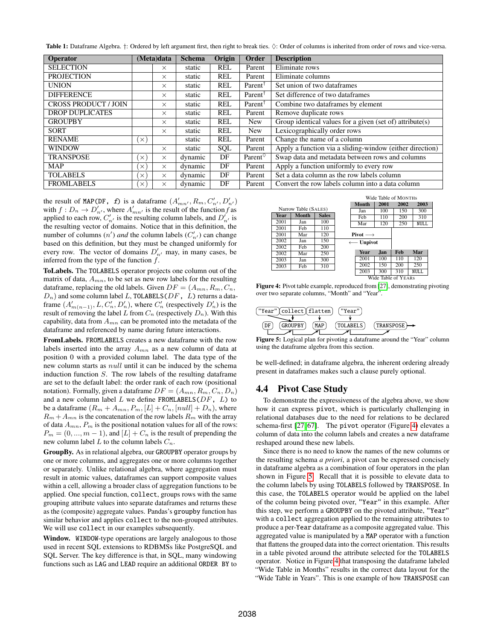<span id="page-5-1"></span>Table 1: Dataframe Algebra.  $\dagger$ : Ordered by left argument first, then right to break ties.  $\Diamond$ : Order of columns is inherited from order of rows and vice-versa.

| <b>Operator</b>             | (Meta)data |          | <b>Schema</b> | Origin     | Order               | <b>Description</b>                                       |
|-----------------------------|------------|----------|---------------|------------|---------------------|----------------------------------------------------------|
| <b>SELECTION</b>            |            | $\times$ | static        | <b>REL</b> | Parent              | Eliminate rows                                           |
| <b>PROJECTION</b>           |            | $\times$ | static        | <b>REL</b> | Parent              | Eliminate columns                                        |
| <b>UNION</b>                |            | $\times$ | static        | <b>REL</b> | Parent <sup>1</sup> | Set union of two dataframes                              |
| <b>DIFFERENCE</b>           |            | $\times$ | static        | <b>REL</b> | Parent <sup>1</sup> | Set difference of two dataframes                         |
| <b>CROSS PRODUCT / JOIN</b> |            | $\times$ | static        | <b>REL</b> | Parent <sup>1</sup> | Combine two dataframes by element                        |
| <b>DROP DUPLICATES</b>      |            | $\times$ | static        | <b>REL</b> | Parent              | Remove duplicate rows                                    |
| <b>GROUPBY</b>              |            | $\times$ | static        | <b>REL</b> | <b>New</b>          | Group identical values for a given (set of) attribute(s) |
| <b>SORT</b>                 |            | $\times$ | static        | <b>REL</b> | <b>New</b>          | Lexicographically order rows                             |
| <b>RENAME</b>               | $\times$   |          | static        | REL        | Parent              | Change the name of a column                              |
| <b>WINDOW</b>               |            | $\times$ | static        | SQL        | Parent              | Apply a function via a sliding-window (either direction) |
| <b>TRANSPOSE</b>            | EX.        | $\times$ | dynamic       | DF         | Parent $\circ$      | Swap data and metadata between rows and columns          |
| <b>MAP</b>                  | $\times$   | $\times$ | dynamic       | DF         | Parent              | Apply a function uniformly to every row                  |
| <b>TOLABELS</b>             | $\times$   | $\times$ | dynamic       | DF         | Parent              | Set a data column as the row labels column               |
| <b>FROMLABELS</b>           | $\times$   | $\times$ | dynamic       | DF         | Parent              | Convert the row labels column into a data column         |

the result of MAP(DF, f) is a dataframe  $(A'_{mn'}, R_m, C'_{n'}, D'_{n'})$ with  $f: D_n \to D'_{n'}$ , where  $A'_{mn'}$  is the result of the function f as applied to each row,  $C'_{n'}$  is the resulting column labels, and  $D'_{n'}$  is the resulting vector of domains. Notice that in this definition, the number of columns  $(n')$  *and* the column labels  $(C'_{n'})$  can change based on this definition, but they must be changed uniformly for every row. The vector of domains  $D'_{n'}$  may, in many cases, be inferred from the type of the function  $f$ .

ToLabels. The TOLABELS operator projects one column out of the matrix of data,  $A_{mn}$ , to be set as new row labels for the resulting dataframe, replacing the old labels. Given  $DF = (A_{mn}, R_m, C_n,$  $D_n$ ) and some column label L, TOLABELS( $DF$ , L) returns a dataframe  $(A'_{m(n-1)}, L, C'_{n}, D'_{n})$ , where  $C'_{n}$  (respectively  $D'_{n}$ ) is the result of removing the label L from  $C_n$  (respectively  $D_n$ ). With this capability, data from  $A_{mn}$  can be promoted into the metadata of the dataframe and referenced by name during future interactions.

FromLabels. FROMLABELS creates a new dataframe with the row labels inserted into the array  $A_{mn}$  as a new column of data at position 0 with a provided column label. The data type of the new column starts as null until it can be induced by the schema induction function S. The row labels of the resulting dataframe are set to the default label: the order rank of each row (positional notation). Formally, given a dataframe  $DF = (A_{mn}, R_m, C_n, D_n)$ and a new column label  $L$  we define FROMLABELS( $DF$ ,  $L$ ) to be a dataframe  $(R_m + A_{mn}, P_m, [L] + C_n, [null] + D_n)$ , where  $R_m + A_{mn}$  is the concatenation of the row labels  $R_m$  with the array of data  $A_{mn}$ ,  $P_m$  is the positional notation values for all of the rows:  $P_m = (0, ..., m - 1)$ , and  $[L] + C_n$  is the result of prepending the new column label L to the column labels  $C_n$ .

GroupBy. As in relational algebra, our GROUPBY operator groups by one or more columns, and aggregates one or more columns together or separately. Unlike relational algebra, where aggregation must result in atomic values, dataframes can support composite values within a cell, allowing a broader class of aggregation functions to be applied. One special function, collect, groups rows with the same grouping attribute values into separate dataframes and returns these as the (composite) aggregate values. Pandas's groupby function has similar behavior and applies collect to the non-grouped attributes. We will use collect in our examples subsequently.

Window. WINDOW-type operations are largely analogous to those used in recent SQL extensions to RDBMSs like PostgreSQL and SQL Server. The key difference is that, in SQL, many windowing functions such as LAG and LEAD require an additional ORDER BY to

<span id="page-5-2"></span>

Figure 4: Pivot table example, reproduced from [\[27\]](#page-12-10), demonstrating pivoting over two separate columns, "Month" and "Year".

<span id="page-5-3"></span>

Figure 5: Logical plan for pivoting a dataframe around the "Year" column using the dataframe algebra from this section.

be well-defined; in dataframe algebra, the inherent ordering already present in dataframes makes such a clause purely optional.

#### <span id="page-5-0"></span>4.4 Pivot Case Study

To demonstrate the expressiveness of the algebra above, we show how it can express pivot, which is particularly challenging in relational databases due to the need for relations to be declared schema-first [\[27,](#page-12-10) [67\]](#page-13-6). The pivot operator (Figure [4\)](#page-5-2) elevates a column of data into the column labels and creates a new dataframe reshaped around these new labels.

Since there is no need to know the names of the new columns or the resulting schema *a priori*, a pivot can be expressed concisely in dataframe algebra as a combination of four operators in the plan shown in Figure [5.](#page-5-3) Recall that it is possible to elevate data to the column labels by using TOLABELS followed by TRANSPOSE. In this case, the TOLABELS operator would be applied on the label of the column being pivoted over, "Year" in this example. After this step, we perform a GROUPBY on the pivoted attribute, "Year" with a collect aggregation applied to the remaining attributes to produce a per-Year dataframe as a composite aggregated value. This aggregated value is manipulated by a MAP operator with a function that flattens the grouped data into the correct orientation. This results in a table pivoted around the attribute selected for the TOLABELS operator. Notice in Figure [4](#page-5-2) that transposing the dataframe labeled "Wide Table in Months" results in the correct data layout for the "Wide Table in Years". This is one example of how TRANSPOSE can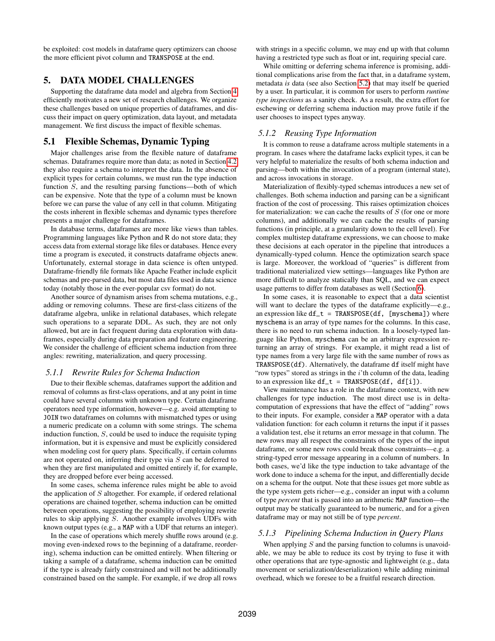be exploited: cost models in dataframe query optimizers can choose the more efficient pivot column and TRANSPOSE at the end.

# <span id="page-6-0"></span>5. DATA MODEL CHALLENGES

Supporting the dataframe data model and algebra from Section [4](#page-3-0) efficiently motivates a new set of research challenges. We organize these challenges based on unique properties of dataframes, and discuss their impact on query optimization, data layout, and metadata management. We first discuss the impact of flexible schemas.

## 5.1 Flexible Schemas, Dynamic Typing

Major challenges arise from the flexible nature of dataframe schemas. Dataframes require more than data; as noted in Section [4.2](#page-3-3) they also require a schema to interpret the data. In the absence of explicit types for certain columns, we must run the type induction function S, and the resulting parsing functions—both of which can be expensive. Note that the type of a column must be known before we can parse the value of any cell in that column. Mitigating the costs inherent in flexible schemas and dynamic types therefore presents a major challenge for dataframes.

In database terms, dataframes are more like views than tables. Programming languages like Python and R do not store data; they access data from external storage like files or databases. Hence every time a program is executed, it constructs dataframe objects anew. Unfortunately, external storage in data science is often untyped. Dataframe-friendly file formats like Apache Feather include explicit schemas and pre-parsed data, but most data files used in data science today (notably those in the ever-popular csv format) do not.

Another source of dynamism arises from schema mutations, e.g., adding or removing columns. These are first-class citizens of the dataframe algebra, unlike in relational databases, which relegate such operations to a separate DDL. As such, they are not only allowed, but are in fact frequent during data exploration with dataframes, especially during data preparation and feature engineering. We consider the challenge of efficient schema induction from three angles: rewriting, materialization, and query processing.

#### *5.1.1 Rewrite Rules for Schema Induction*

Due to their flexible schemas, dataframes support the addition and removal of columns as first-class operations, and at any point in time could have several columns with unknown type. Certain dataframe operators need type information, however—e.g. avoid attempting to JOIN two dataframes on columns with mismatched types or using a numeric predicate on a column with some strings. The schema induction function,  $S$ , could be used to induce the requisite typing information, but it is expensive and must be explicitly considered when modeling cost for query plans. Specifically, if certain columns are not operated on, inferring their type via S can be deferred to when they are first manipulated and omitted entirely if, for example, they are dropped before ever being accessed.

In some cases, schema inference rules might be able to avoid the application of  $S$  altogether. For example, if ordered relational operations are chained together, schema induction can be omitted between operations, suggesting the possibility of employing rewrite rules to skip applying S. Another example involves UDFs with known output types (e.g., a MAP with a UDF that returns an integer).

In the case of operations which merely shuffle rows around (e.g. moving even-indexed rows to the beginning of a dataframe, reordering), schema induction can be omitted entirely. When filtering or taking a sample of a dataframe, schema induction can be omitted if the type is already fairly constrained and will not be additionally constrained based on the sample. For example, if we drop all rows

with strings in a specific column, we may end up with that column having a restricted type such as float or int, requiring special care.

While omitting or deferring schema inference is promising, additional complications arise from the fact that, in a dataframe system, metadata *is* data (see also Section [5.2\)](#page-7-1) that may itself be queried by a user. In particular, it is common for users to perform *runtime type inspections* as a sanity check. As a result, the extra effort for eschewing or deferring schema induction may prove futile if the user chooses to inspect types anyway.

#### <span id="page-6-1"></span>*5.1.2 Reusing Type Information*

It is common to reuse a dataframe across multiple statements in a program. In cases where the dataframe lacks explicit types, it can be very helpful to materialize the results of both schema induction and parsing—both within the invocation of a program (internal state), and across invocations in storage.

Materialization of flexibly-typed schemas introduces a new set of challenges. Both schema induction and parsing can be a significant fraction of the cost of processing. This raises optimization choices for materialization: we can cache the results of  $S$  (for one or more columns), and additionally we can cache the results of parsing functions (in principle, at a granularity down to the cell level). For complex multistep dataframe expressions, we can choose to make these decisions at each operator in the pipeline that introduces a dynamically-typed column. Hence the optimization search space is large. Moreover, the workload of "queries" is different from traditional materialized view settings—languages like Python are more difficult to analyze statically than SQL, and we can expect usage patterns to differ from databases as well (Section [6\)](#page-8-0).

In some cases, it is reasonable to expect that a data scientist will want to declare the types of the dataframe explicitly—e.g., an expression like  $df_t = TRANSPOSE(df, [myschema])$  where myschema is an array of type names for the columns. In this case, there is no need to run schema induction. In a loosely-typed language like Python, myschema can be an arbitrary expression returning an array of strings. For example, it might read a list of type names from a very large file with the same number of rows as TRANSPOSE(df). Alternatively, the dataframe df itself might have "row types" stored as strings in the i'th column of the data, leading to an expression like  $df_t = TRANSPOSE(df, df[i]).$ 

View maintenance has a role in the dataframe context, with new challenges for type induction. The most direct use is in deltacomputation of expressions that have the effect of "adding" rows to their inputs. For example, consider a MAP operator with a data validation function: for each column it returns the input if it passes a validation test, else it returns an error message in that column. The new rows may all respect the constraints of the types of the input dataframe, or some new rows could break those constraints—e.g. a string-typed error message appearing in a column of numbers. In both cases, we'd like the type induction to take advantage of the work done to induce a schema for the input, and differentially decide on a schema for the output. Note that these issues get more subtle as the type system gets richer—e.g., consider an input with a column of type *percent* that is passed into an arithmetic MAP function—the output may be statically guaranteed to be numeric, and for a given dataframe may or may not still be of type *percent*.

#### *5.1.3 Pipelining Schema Induction in Query Plans*

When applying  $S$  and the parsing function to columns is unavoidable, we may be able to reduce its cost by trying to fuse it with other operations that are type-agnostic and lightweight (e.g., data movement or serialization/deserialization) while adding minimal overhead, which we foresee to be a fruitful research direction.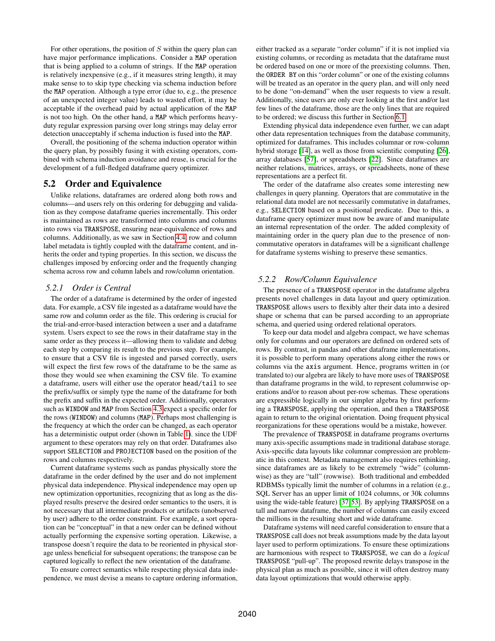For other operations, the position of  $S$  within the query plan can have major performance implications. Consider a MAP operation that is being applied to a column of strings. If the MAP operation is relatively inexpensive (e.g., if it measures string length), it may make sense to to skip type checking via schema induction before the MAP operation. Although a type error (due to, e.g., the presence of an unexpected integer value) leads to wasted effort, it may be acceptable if the overhead paid by actual application of the MAP is not too high. On the other hand, a MAP which performs heavyduty regular expression parsing over long strings may delay error detection unacceptably if schema induction is fused into the MAP.

Overall, the positioning of the schema induction operator within the query plan, by possibly fusing it with existing operators, combined with schema induction avoidance and reuse, is crucial for the development of a full-fledged dataframe query optimizer.

#### <span id="page-7-1"></span>5.2 Order and Equivalence

Unlike relations, dataframes are ordered along both rows and columns—and users rely on this ordering for debugging and validation as they compose dataframe queries incrementally. This order is maintained as rows are transformed into columns and columns into rows via TRANSPOSE, ensuring near-equivalence of rows and columns. Additionally, as we saw in Section [4.4,](#page-5-0) row and column label metadata is tightly coupled with the dataframe content, and inherits the order and typing properties. In this section, we discuss the challenges imposed by enforcing order and the frequently changing schema across row and column labels and row/column orientation.

#### *5.2.1 Order is Central*

The order of a dataframe is determined by the order of ingested data. For example, a CSV file ingested as a dataframe would have the same row and column order as the file. This ordering is crucial for the trial-and-error-based interaction between a user and a dataframe system. Users expect to see the rows in their dataframe stay in the same order as they process it—allowing them to validate and debug each step by comparing its result to the previous step. For example, to ensure that a CSV file is ingested and parsed correctly, users will expect the first few rows of the dataframe to be the same as those they would see when examining the CSV file. To examine a dataframe, users will either use the operator head/tail to see the prefix/suffix or simply type the name of the dataframe for both the prefix and suffix in the expected order. Additionally, operators such as WINDOW and MAP from Section [4.3](#page-4-0) expect a specific order for the rows (WINDOW) and columns (MAP). Perhaps most challenging is the frequency at which the order can be changed, as each operator has a deterministic output order (shown in Table [1\)](#page-5-1). since the UDF argument to these operators may rely on that order. Dataframes also support SELECTION and PROJECTION based on the position of the rows and columns respectively.

Current dataframe systems such as pandas physically store the dataframe in the order defined by the user and do not implement physical data independence. Physical independence may open up new optimization opportunities, recognizing that as long as the displayed results preserve the desired order semantics to the users, it is not necessary that all intermediate products or artifacts (unobserved by user) adhere to the order constraint. For example, a sort operation can be "conceptual" in that a new order can be defined without actually performing the expensive sorting operation. Likewise, a transpose doesn't require the data to be reoriented in physical storage unless beneficial for subsequent operations; the transpose can be captured logically to reflect the new orientation of the dataframe.

To ensure correct semantics while respecting physical data independence, we must devise a means to capture ordering information, either tracked as a separate "order column" if it is not implied via existing columns, or recording as metadata that the dataframe must be ordered based on one or more of the preexisting columns. Then, the ORDER BY on this "order column" or one of the existing columns will be treated as an operator in the query plan, and will only need to be done "on-demand" when the user requests to view a result. Additionally, since users are only ever looking at the first and/or last few lines of the dataframe, those are the only lines that are required to be ordered; we discuss this further in Section [6.1.](#page-9-0)

Extending physical data independence even further, we can adapt other data representation techniques from the database community, optimized for dataframes. This includes columnar or row-column hybrid storage [\[14\]](#page-12-11), as well as those from scientific computing [\[26\]](#page-12-12), array databases [\[57\]](#page-13-7), or spreadsheets [\[22\]](#page-12-13). Since dataframes are neither relations, matrices, arrays, or spreadsheets, none of these representations are a perfect fit.

The order of the dataframe also creates some interesting new challenges in query planning. Operators that are commutative in the relational data model are not necessarily commutative in dataframes, e.g., SELECTION based on a positional predicate. Due to this, a dataframe query optimizer must now be aware of and manipulate an internal representation of the order. The added complexity of maintaining order in the query plan due to the presence of noncommutative operators in dataframes will be a significant challenge for dataframe systems wishing to preserve these semantics.

#### <span id="page-7-0"></span>*5.2.2 Row/Column Equivalence*

The presence of a TRANSPOSE operator in the dataframe algebra presents novel challenges in data layout and query optimization. TRANSPOSE allows users to flexibly alter their data into a desired shape or schema that can be parsed according to an appropriate schema, and queried using ordered relational operators.

To keep our data model and algebra compact, we have schemas only for columns and our operators are defined on ordered sets of rows. By contrast, in pandas and other dataframe implementations, it is possible to perform many operations along either the rows or columns via the axis argument. Hence, programs written in (or translated to) our algebra are likely to have more uses of TRANSPOSE than dataframe programs in the wild, to represent columnwise operations and/or to reason about per-row schemas. These operations are expressible logically in our simpler algebra by first performing a TRANSPOSE, applying the operation, and then a TRANSPOSE again to return to the original orientation. Doing frequent physical reorganizations for these operations would be a mistake, however.

The prevalence of TRANSPOSE in dataframe programs overturns many axis-specific assumptions made in traditional database storage. Axis-specific data layouts like columnar compression are problematic in this context. Metadata management also requires rethinking, since dataframes are as likely to be extremely "wide" (columnwise) as they are "tall" (rowwise). Both traditional and embedded RDBMSs typically limit the number of columns in a relation (e.g., SQL Server has an upper limit of 1024 columns, or 30k columns using the wide-table feature) [\[37,](#page-13-3) [53\]](#page-13-4). By applying TRANSPOSE on a tall and narrow dataframe, the number of columns can easily exceed the millions in the resulting short and wide dataframe.

Dataframe systems will need careful consideration to ensure that a TRANSPOSE call does not break assumptions made by the data layout layer used to perform optimizations. To ensure these optimizations are harmonious with respect to TRANSPOSE, we can do a *logical* TRANSPOSE "pull-up". The proposed rewrite delays transpose in the physical plan as much as possible, since it will often destroy many data layout optimizations that would otherwise apply.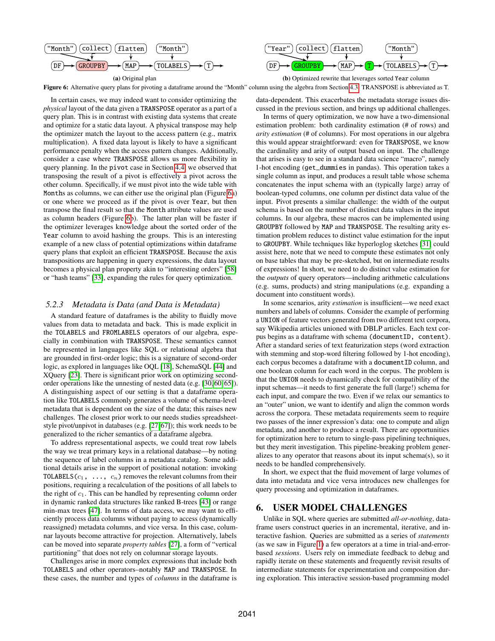<span id="page-8-1"></span>

Figure 6: Alternative query plans for pivoting a dataframe around the "Month" column using the algebra from Section [4.3.](#page-4-0) TRANSPOSE is abbreviated as T.

In certain cases, we may indeed want to consider optimizing the *physical* layout of the data given a TRANSPOSE operator as a part of a query plan. This is in contrast with existing data systems that create and optimize for a static data layout. A physical transpose may help the optimizer match the layout to the access pattern (e.g., matrix multiplication). A fixed data layout is likely to have a significant performance penalty when the access pattern changes. Additionally, consider a case where TRANSPOSE allows us more flexibility in query planning. In the pivot case in Section [4.4,](#page-5-0) we observed that transposing the result of a pivot is effectively a pivot across the other column. Specifically, if we must pivot into the wide table with Months as columns, we can either use the original plan (Figure [6a](#page-8-1)) or one where we proceed as if the pivot is over Year, but then transpose the final result so that the Month attribute values are used as column headers (Figure [6b](#page-8-1)). The latter plan will be faster if the optimizer leverages knowledge about the sorted order of the Year column to avoid hashing the groups. This is an interesting example of a new class of potential optimizations within dataframe query plans that exploit an efficient TRANSPOSE. Because the axis transpositions are happening in query expressions, the data layout becomes a physical plan property akin to "interesting orders" [\[58\]](#page-13-8) or "hash teams" [\[33\]](#page-12-14), expanding the rules for query optimization.

#### *5.2.3 Metadata is Data (and Data is Metadata)*

A standard feature of dataframes is the ability to fluidly move values from data to metadata and back. This is made explicit in the TOLABELS and FROMLABELS operators of our algebra, especially in combination with TRANSPOSE. These semantics cannot be represented in languages like SQL or relational algebra that are grounded in first-order logic; this is a signature of second-order logic, as explored in languages like OQL [\[18\]](#page-12-15), SchemaSQL [\[44\]](#page-13-9) and XQuery [\[23\]](#page-12-16). There is significant prior work on optimizing secondorder operations like the unnesting of nested data (e.g. [\[30,](#page-12-17) [60,](#page-13-10) [65\]](#page-13-11)). A distinguishing aspect of our setting is that a dataframe operation like TOLABELS commonly generates a volume of schema-level metadata that is dependent on the size of the data; this raises new challenges. The closest prior work to our needs studies spreadsheetstyle pivot/unpivot in databases (e.g. [\[27,](#page-12-10) [67\]](#page-13-6)); this work needs to be generalized to the richer semantics of a dataframe algebra.

To address representational aspects, we could treat row labels the way we treat primary keys in a relational database—by noting the sequence of label columns in a metadata catalog. Some additional details arise in the support of positional notation: invoking TOLABELS( $c_1$ , ...,  $c_n$ ) removes the relevant columns from their positions, requiring a recalculation of the positions of all labels to the right of  $c_1$ . This can be handled by representing column order in dynamic ranked data structures like ranked B-trees [\[43\]](#page-13-12) or range min-max trees [\[47\]](#page-13-13). In terms of data access, we may want to efficiently process data columns without paying to access (dynamically reassigned) metadata columns, and vice versa. In this case, columnar layouts become attractive for projection. Alternatively, labels can be moved into separate *property tables* [\[27\]](#page-12-10), a form of "vertical partitioning" that does not rely on columnar storage layouts.

Challenges arise in more complex expressions that include both TOLABELS and other operators–notably MAP and TRANSPOSE. In these cases, the number and types of *columns* in the dataframe is data-dependent. This exacerbates the metadata storage issues discussed in the previous section, and brings up additional challenges.

In terms of query optimization, we now have a two-dimensional estimation problem: both cardinality estimation (# of rows) and *arity estimation* (# of columns). For most operations in our algebra this would appear straightforward: even for TRANSPOSE, we know the cardinality and arity of output based on input. The challenge that arises is easy to see in a standard data science "macro", namely 1-hot encoding (get\_dummies in pandas). This operation takes a single column as input, and produces a result table whose schema concatenates the input schema with an (typically large) array of boolean-typed columns, one column per distinct data value of the input. Pivot presents a similar challenge: the width of the output schema is based on the number of distinct data values in the input columns. In our algebra, these macros can be implemented using GROUPBY followed by MAP and TRANSPOSE. The resulting arity estimation problem reduces to distinct value estimation for the input to GROUPBY. While techniques like hyperloglog sketches [\[31\]](#page-12-18) could assist here, note that we need to compute these estimates not only on base tables that may be pre-sketched, but on intermediate results of expressions! In short, we need to do distinct value estimation for the *outputs* of query operators—including arithmetic calculations (e.g. sums, products) and string manipulations (e.g. expanding a document into constituent words).

In some scenarios, arity *estimation* is insufficient—we need exact numbers and labels of columns. Consider the example of performing a UNION of feature vectors generated from two different text corpora, say Wikipedia articles unioned with DBLP articles. Each text corpus begins as a dataframe with schema (documentID, content). After a standard series of text featurization steps (word extraction with stemming and stop-word filtering followed by 1-hot encoding), each corpus becomes a dataframe with a documentID column, and one boolean column for each word in the corpus. The problem is that the UNION needs to dynamically check for compatibility of the input schemas—it needs to first generate the full (large!) schema for each input, and compare the two. Even if we relax our semantics to an "outer" union, we want to identify and align the common words across the corpora. These metadata requirements seem to require two passes of the inner expression's data: one to compute and align metadata, and another to produce a result. There are opportunities for optimization here to return to single-pass pipelining techniques, but they merit investigation. This pipeline-breaking problem generalizes to any operator that reasons about its input schema(s), so it needs to be handled comprehensively.

In short, we expect that the fluid movement of large volumes of data into metadata and vice versa introduces new challenges for query processing and optimization in dataframes.

# <span id="page-8-0"></span>6. USER MODEL CHALLENGES

Unlike in SQL where queries are submitted *all-or-nothing*, dataframe users construct queries in an incremental, iterative, and interactive fashion. Queries are submitted as a series of *statements* (as we saw in Figure [1\)](#page-1-0) a few operators at a time in trial-and-errorbased *sessions*. Users rely on immediate feedback to debug and rapidly iterate on these statements and frequently revisit results of intermediate statements for experimentation and composition during exploration. This interactive session-based programming model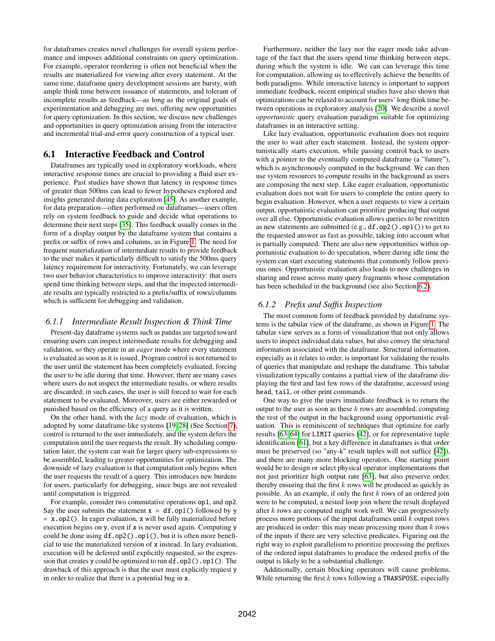for dataframes creates novel challenges for overall system performance and imposes additional constraints on query optimization. For example, operator reordering is often not beneficial when the results are materialized for viewing after every statement. At the same time, dataframe query development sessions are bursty, with ample think time between issuance of statements, and tolerant of incomplete results as feedback—as long as the original goals of experimentation and debugging are met, offering new opportunities for query optimization. In this section, we discuss new challenges and opportunities in query optimization arising from the interactive and incremental trial-and-error query construction of a typical user.

# <span id="page-9-0"></span>6.1 Interactive Feedback and Control

Dataframes are typically used in exploratory workloads, where interactive response times are crucial to providing a fluid user experience. Past studies have shown that latency in response times of greater than 500ms can lead to fewer hypotheses explored and insights generated during data exploration [\[45\]](#page-13-14). As another example, for data preparation—often performed on dataframes—users often rely on system feedback to guide and decide what operations to determine their next steps [\[35\]](#page-13-15). This feedback usually comes in the form of a display output by the dataframe system that contains a prefix or suffix of rows and columns, as in Figure [1.](#page-1-0) The need for frequent materialization of intermediate results to provide feedback to the user makes it particularly difficult to satisfy the 500ms query latency requirement for interactivity. Fortunately, we can leverage two user behavior characteristics to improve interactivity: that users spend time thinking between steps, and that the inspected intermediate results are typically restricted to a prefix/suffix of rows/columns which is sufficient for debugging and validation.

#### <span id="page-9-1"></span>*6.1.1 Intermediate Result Inspection & Think Time*

Present-day dataframe systems such as pandas are targeted toward ensuring users can inspect intermediate results for debugging and validation, so they operate in an *eager* mode where every statement is evaluated as soon as it is issued. Program control is not returned to the user until the statement has been completely evaluated, forcing the user to be idle during that time. However, there are many cases where users do not inspect the intermediate results, or where results are discarded; in such cases, the user is still forced to wait for each statement to be evaluated. Moreover, users are either rewarded or punished based on the efficiency of a query as it is written.

On the other hand, with the *lazy* mode of evaluation, which is adopted by some dataframe-like systems [\[19,](#page-12-19) [28\]](#page-12-20) (See Section [7\)](#page-11-0), control is returned to the user immediately, and the system defers the computation until the user requests the result. By scheduling computation later, the system can wait for larger query sub-expressions to be assembled, leading to greater opportunities for optimization. The downside of lazy evaluation is that computation only begins when the user requests the result of a query. This introduces new burdens for users, particularly for debugging, since bugs are not revealed until computation is triggered.

For example, consider two commutative operations op1, and op2. Say the user submits the statement  $x = df.$  op 1() followed by y  $= x.$  op2(). In eager evaluation, x will be fully materialized before execution begins on y, even if x is never used again. Computing y could be done using df.op2().op1(), but it is often more beneficial to use the materialized version of x instead. In lazy evaluation, execution will be deferred until explicitly requested, so the expression that creates y could be optimized to run df.op2().op1(). The drawback of this approach is that the user must explicitly request y in order to realize that there is a potential bug in x.

Furthermore, neither the lazy nor the eager mode take advantage of the fact that the users spend time thinking between steps, during which the system is idle. We can can leverage this time for computation, allowing us to effectively achieve the benefits of both paradigms. While interactive latency is important to support immediate feedback, recent empirical studies have also shown that optimizations can be relaxed to account for users' long think time between operations in exploratory analysis [\[20\]](#page-12-21). We describe a novel *opportunistic* query evaluation paradigm suitable for optimizing dataframes in an interactive setting.

Like lazy evaluation, opportunistic evaluation does not require the user to wait after each statement. Instead, the system opportunistically starts execution, while passing control back to users with a pointer to the eventually computed dataframe (a "future"), which is asynchronously computed in the background. We can then use system resources to compute results in the background as users are composing the next step. Like eager evaluation, opportunistic evaluation does not wait for users to complete the entire query to begin evaluation. However, when a user requests to view a certain output, opportunistic evaluation can prioritize producing that output over all else. Opportunistic evaluation allows queries to be rewritten as new statements are submitted (e.g., df.op2().op1()) to get to the requested answer as fast as possible, taking into account what is partially computed. There are also new opportunities within opportunistic evaluation to do speculation, where during idle time the system can start executing statements that commonly follow previous ones. Opportunistic evaluation also leads to new challenges in sharing and reuse across many query fragments whose computation has been scheduled in the background (see also Section [6.2\)](#page-10-0).

#### <span id="page-9-2"></span>*6.1.2 Prefix and Suffix Inspection*

The most common form of feedback provided by dataframe systems is the tabular view of the dataframe, as shown in Figure [1.](#page-1-0) The tabular view serves as a form of visualization that not only allows users to inspect individual data values, but also convey the structural information associated with the dataframe. Structural information, especially as it relates to order, is important for validating the results of queries that manipulate and reshape the dataframe. This tabular visualization typically contains a partial view of the dataframe displaying the first and last few rows of the dataframe, accessed using head, tail, or other print commands.

One way to give the users immediate feedback is to return the output to the user as soon as these  $k$  rows are assembled, computing the rest of the output in the background using opportunistic evaluation. This is reminiscent of techniques that optimize for early results [\[63,](#page-13-16) [64\]](#page-13-17) for LIMIT queries [\[42\]](#page-13-18), or for representative tuple identification [\[61\]](#page-13-19), but a key difference in dataframes is that order must be preserved (so "any-k" result tuples will not suffice [\[42\]](#page-13-18)), and there are many more blocking operators. One starting point would be to design or select physical operator implementations that not just prioritize high output rate [\[63\]](#page-13-16), but also preserve order, thereby ensuring that the first  $k$  rows will be produced as quickly as possible. As an example, if only the first  $k$  rows of an ordered join were to be computed, a nested loop join where the result displayed after k rows are computed might work well. We can progressively process more portions of the input dataframes until k output rows are produced in order: this may mean processing more than  $k$  rows of the inputs if there are very selective predicates. Figuring out the right way to exploit parallelism to prioritize processing the prefixes of the ordered input dataframes to produce the ordered prefix of the output is likely to be a substantial challenge.

Additionally, certain blocking operators will cause problems. While returning the first  $k$  rows following a TRANSPOSE, especially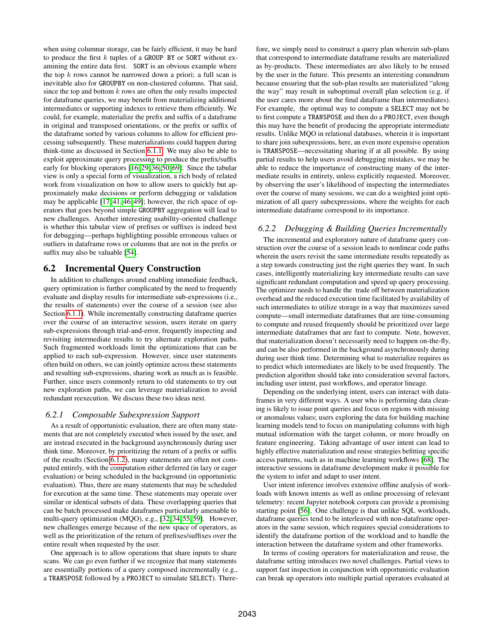when using columnar storage, can be fairly efficient, it may be hard to produce the first  $k$  tuples of a GROUP BY or SORT without examining the entire data first. SORT is an obvious example where the top  $k$  rows cannot be narrowed down a priori; a full scan is inevitable also for GROUPBY on non-clustered columns. That said, since the top and bottom  $k$  rows are often the only results inspected for dataframe queries, we may benefit from materializing additional intermediates or supporting indexes to retrieve them efficiently. We could, for example, materialize the prefix and suffix of a dataframe in original and transposed orientations, or the prefix or suffix of the dataframe sorted by various columns to allow for efficient processing subsequently. These materializations could happen during think-time as discussed in Section [6.1.1.](#page-9-1) We may also be able to exploit approximate query processing to produce the prefix/suffix early for blocking operators [\[16,](#page-12-22) [29,](#page-12-23) [36,](#page-13-20) [50,](#page-13-21) [69\]](#page-13-22). Since the tabular view is only a special form of visualization, a rich body of related work from visualization on how to allow users to quickly but approximately make decisions or perform debugging or validation may be applicable [\[17,](#page-12-24) [41,](#page-13-23) [46,](#page-13-24) [49\]](#page-13-25); however, the rich space of operators that goes beyond simple GROUPBY aggregation will lead to new challenges. Another interesting usability-oriented challenge is whether this tabular view of prefixes or suffixes is indeed best for debugging—perhaps highlighting possible erroneous values or outliers in dataframe rows or columns that are not in the prefix or suffix may also be valuable [\[54\]](#page-13-26).

## <span id="page-10-0"></span>6.2 Incremental Query Construction

In addition to challenges around enabling immediate feedback, query optimization is further complicated by the need to frequently evaluate and display results for intermediate sub-expressions (i.e., the results of statements) over the course of a session (see also Section [6.1.1\)](#page-9-1). While incrementally constructing dataframe queries over the course of an interactive session, users iterate on query sub-expressions through trial-and-error, frequently inspecting and revisiting intermediate results to try alternate exploration paths. Such fragmented workloads limit the optimizations that can be applied to each sub-expression. However, since user statements often build on others, we can jointly optimize across these statements and resulting sub-expressions, sharing work as much as is feasible. Further, since users commonly return to old statements to try out new exploration paths, we can leverage materialization to avoid redundant reexecution. We discuss these two ideas next.

#### *6.2.1 Composable Subexpression Support*

As a result of opportunistic evaluation, there are often many statements that are not completely executed when issued by the user, and are instead executed in the background asynchronously during user think time. Moreover, by prioritizing the return of a prefix or suffix of the results (Section [6.1.2\)](#page-9-2), many statements are often not computed entirely, with the computation either deferred (in lazy or eager evaluation) or being scheduled in the background (in opportunistic evaluation). Thus, there are many statements that may be scheduled for execution at the same time. These statements may operate over similar or identical subsets of data. These overlapping queries that can be batch processed make dataframes particularly amenable to multi-query optimization (MQO), e.g., [\[32,](#page-12-25) [34,](#page-12-26) [55,](#page-13-27) [59\]](#page-13-28). However, new challenges emerge because of the new space of operators, as well as the prioritization of the return of prefixes/suffixes over the entire result when requested by the user.

One approach is to allow operations that share inputs to share scans. We can go even further if we recognize that many statements are essentially portions of a query composed incrementally (e.g., a TRANSPOSE followed by a PROJECT to simulate SELECT). Therefore, we simply need to construct a query plan wherein sub-plans that correspond to intermediate dataframe results are materialized as by-products. These intermediates are also likely to be reused by the user in the future. This presents an interesting conundrum because ensuring that the sub-plan results are materialized "along the way" may result in suboptimal overall plan selection (e.g. if the user cares more about the final dataframe than intermediates). For example, the optimal way to compute a SELECT may not be to first compute a TRANSPOSE and then do a PROJECT, even though this may have the benefit of producing the appropriate intermediate results. Unlike MQO in relational databases, wherein it is important to share join subexpressions, here, an even more expensive operation is TRANSPOSE—necessitating sharing if at all possible. By using partial results to help users avoid debugging mistakes, we may be able to reduce the importance of constructing many of the intermediate results in entirety, unless explicitly requested. Moreover, by observing the user's likelihood of inspecting the intermediates over the course of many sessions, we can do a weighted joint optimization of all query subexpressions, where the weights for each intermediate dataframe correspond to its importance.

#### *6.2.2 Debugging & Building Queries Incrementally*

The incremental and exploratory nature of dataframe query construction over the course of a session leads to nonlinear code paths wherein the users revisit the same intermediate results repeatedly as a step towards constructing just the right queries they want. In such cases, intelligently materializing key intermediate results can save significant redundant computation and speed up query processing. The optimizer needs to handle the trade off between materialization overhead and the reduced execution time facilitated by availability of such intermediates to utilize storage in a way that maximizes saved compute—small intermediate dataframes that are time-consuming to compute and reused frequently should be prioritized over large intermediate dataframes that are fast to compute. Note, however, that materialization doesn't necessarily need to happen on-the-fly, and can be also performed in the background asynchronously during during user think time. Determining what to materialize requires us to predict which intermediates are likely to be used frequently. The prediction algorithm should take into consideration several factors, including user intent, past workflows, and operator lineage.

Depending on the underlying intent, users can interact with dataframes in very different ways. A user who is performing data cleaning is likely to issue point queries and focus on regions with missing or anomalous values; users exploring the data for building machine learning models tend to focus on manipulating columns with high mutual information with the target column, or more broadly on feature engineering. Taking advantage of user intent can lead to highly effective materialization and reuse strategies befitting specific access patterns, such as in machine learning workflows [\[68\]](#page-13-29). The interactive sessions in dataframe development make it possible for the system to infer and adapt to user intent.

User intent inference involves extensive offline analysis of workloads with known intents as well as online processing of relevant telemetry: recent Jupyter notebook corpora can provide a promising starting point [\[56\]](#page-13-30). One challenge is that unlike SQL workloads, dataframe queries tend to be interleaved with non-dataframe operators in the same session, which requires special considerations to identify the dataframe portion of the workload and to handle the interaction between the dataframe system and other frameworks.

In terms of costing operators for materialization and reuse, the dataframe setting introduces two novel challenges. Partial views to support fast inspection in conjunction with opportunistic evaluation can break up operators into multiple partial operators evaluated at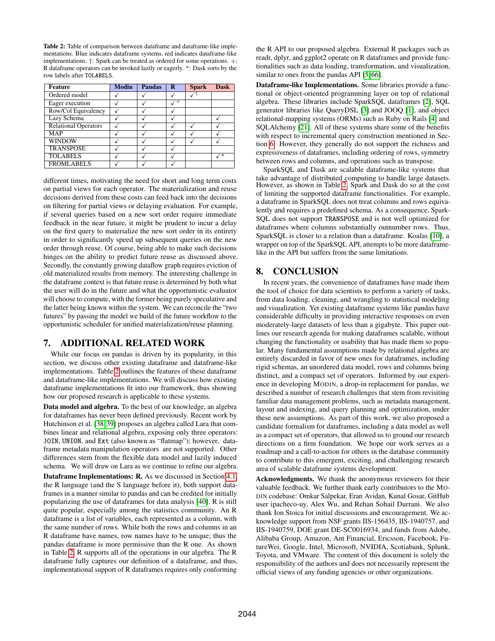<span id="page-11-1"></span>Table 2: Table of comparison between dataframe and dataframe-like implementations. Blue indicates dataframe systems, red indicates dataframe-like implementations. †: Spark can be treated as ordered for some operations. +: R dataframe operators can be invoked lazily or eagerly. \*: Dask sorts by the row labels after TOLABELS.

| <b>Feature</b>              | <b>Modin</b> | <b>Pandas</b> | - R | <b>Spark</b> | <b>Dask</b> |
|-----------------------------|--------------|---------------|-----|--------------|-------------|
| Ordered model               |              |               |     |              |             |
| Eager execution             |              |               |     |              |             |
| Row/Col Equivalency         |              |               |     |              |             |
| Lazy Schema                 |              |               |     |              |             |
| <b>Relational Operators</b> |              |               |     |              |             |
| <b>MAP</b>                  |              |               |     |              |             |
| <b>WINDOW</b>               |              |               |     |              |             |
| <b>TRANSPOSE</b>            |              |               |     |              |             |
| <b>TOLABELS</b>             |              |               |     |              | ′∗          |
| <b>FROMLABELS</b>           |              |               |     |              |             |

different times, motivating the need for short and long term costs on partial views for each operator. The materialization and reuse decisions derived from these costs can feed back into the decisions on filtering for partial views or delaying evaluation. For example, if several queries based on a new sort order require immediate feedback in the near future, it might be prudent to incur a delay on the first query to materialize the new sort order in its entirety in order to significantly speed up subsequent queries on the new order through reuse. Of course, being able to make such decisions hinges on the ability to predict future reuse as discussed above. Secondly, the constantly growing dataflow graph requires eviction of old materialized results from memory. The interesting challenge in the dataframe context is that future reuse is determined by both what the user will do in the future and what the opportunistic evaluator will choose to compute, with the former being purely speculative and the latter being known within the system. We can reconcile the "two futures" by passing the model we build of the future workflow to the opportunistic scheduler for unified materialization/reuse planning.

# <span id="page-11-0"></span>7. ADDITIONAL RELATED WORK

While our focus on pandas is driven by its popularity, in this section, we discuss other existing dataframe and dataframe-like implementations. Table [2](#page-11-1) outlines the features of these dataframe and dataframe-like implementations. We will discuss how existing dataframe implementations fit into our framework, thus showing how our proposed research is applicable to these systems.

Data model and algebra. To the best of our knowledge, an algebra for dataframes has never been defined previously. Recent work by Hutchinson et al. [\[38,](#page-13-31) [39\]](#page-13-32) proposes an algebra called Lara that combines linear and relational algebra, exposing only three operators: JOIN, UNION, and Ext (also known as "flatmap"); however, dataframe metadata manipulation operators are not supported. Other differences stem from the flexible data model and lazily induced schema. We will draw on Lara as we continue to refine our algebra.

Dataframe Implementations: R. As we discussed in Section [4.1,](#page-3-2) the R language (and the S language before it), both support dataframes in a manner similar to pandas and can be credited for initially popularizing the use of dataframes for data analysis [\[40\]](#page-13-33). R is still quite popular, especially among the statistics community. An R dataframe is a list of variables, each represented as a column, with the same number of rows. While both the rows and columns in an R dataframe have names, row names have to be unique; thus the pandas dataframe is more permissive than the R one. As shown in Table [2,](#page-11-1) R supports all of the operations in our algebra. The R dataframe fully captures our definition of a dataframe, and thus, implementational support of R dataframes requires only conforming the R API to our proposed algebra. External R packages such as readr, dplyr, and ggplot2 operate on R dataframes and provide functionalities such as data loading, transformation, and visualization, similar to ones from the pandas API [\[5,](#page-12-27) [66\]](#page-13-34).

Dataframe-like Implementations. Some libraries provide a functional or object-oriented programming layer on top of relational algebra. These libraries include SparkSQL dataframes [\[2\]](#page-12-28), SQL generator libraries like QueryDSL [\[3\]](#page-12-29) and JOOQ [\[1\]](#page-12-30), and object relational-mapping systems (ORMs) such as Ruby on Rails [\[4\]](#page-12-31) and SQLAlchemy [\[21\]](#page-12-32). All of these systems share some of the benefits with respect to incremental query construction mentioned in Section [6.](#page-8-0) However, they generally do not support the richness and expressiveness of dataframes, including ordering of rows, symmetry between rows and columns, and operations such as transpose.

SparkSQL and Dask are scalable dataframe-like systems that take advantage of distributed computing to handle large datasets. However, as shown in Table [2,](#page-11-1) Spark and Dask do so at the cost of limiting the supported dataframe functionalities. For example, a dataframe in SparkSQL does not treat columns and rows equivalently and requires a predefined schema. As a consequence, Spark-SQL does not support TRANSPOSE and is not well optimized for dataframes where columns substantially outnumber rows. Thus, SparkSQL is closer to a relation than a dataframe. Koalas [\[10\]](#page-12-33), a wrapper on top of the SparkSQL API, attempts to be more dataframelike in the API but suffers from the same limitations.

# 8. CONCLUSION

In recent years, the convenience of dataframes have made them the tool of choice for data scientists to perform a variety of tasks, from data loading, cleaning, and wrangling to statistical modeling and visualization. Yet existing dataframe systems like pandas have considerable difficulty in providing interactive responses on even moderately-large datasets of less than a gigabyte. This paper outlines our research agenda for making dataframes scalable, without changing the functionality or usability that has made them so popular. Many fundamental assumptions made by relational algebra are entirely discarded in favor of new ones for dataframes, including rigid schemas, an unordered data model, rows and columns being distinct, and a compact set of operators. Informed by our experience in developing MODIN, a drop-in replacement for pandas, we described a number of research challenges that stem from revisiting familiar data management problems, such as metadata management, layout and indexing, and query planning and optimization, under these new assumptions. As part of this work, we also proposed a candidate formalism for dataframes, including a data model as well as a compact set of operators, that allowed us to ground our research directions on a firm foundation. We hope our work serves as a roadmap and a call-to-action for others in the database community to contribute to this emergent, exciting, and challenging research area of scalable dataframe systems development.

Acknowledgments. We thank the anonymous reviewers for their valuable feedback. We further thank early contributors to the MO-DIN codebase: Omkar Salpekar, Eran Avidan, Kunal Gosar, GitHub user ipacheco-uy, Alex Wu, and Rehan Sohail Durrani. We also thank Ion Stoica for initial discussions and encouragement. We acknowledge support from NSF grants IIS-156435, IIS-1940757, and IIS-1940759, DOE grant DE-SC0016934, and funds from Adobe, Alibaba Group, Amazon, Ant Financial, Ericsson, Facebook, FutureWei, Google, Intel, Microsoft, NVIDIA, Scotiabank, Splunk, Toyota, and VMware. The content of this document is solely the responsibility of the authors and does not necessarily represent the official views of any funding agencies or other organizations.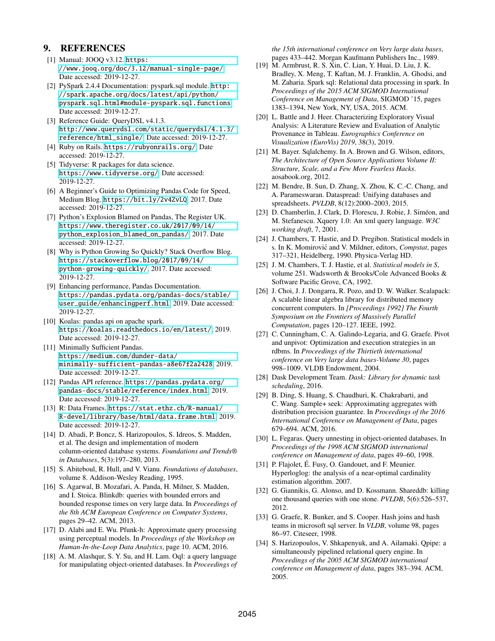# 9. REFERENCES

- <span id="page-12-30"></span>[1] Manual: JOOO v3.12. [https:](https://www.jooq.org/doc/3.12/manual-single-page/) [//www.jooq.org/doc/3.12/manual-single-page/](https://www.jooq.org/doc/3.12/manual-single-page/). Date accessed: 2019-12-27.
- <span id="page-12-28"></span>[2] PySpark 2.4.4 Documentation: pyspark.sql module. [http:](http://spark.apache.org/docs/latest/api/python/pyspark.sql.html#module-pyspark.sql.functions) [//spark.apache.org/docs/latest/api/python/](http://spark.apache.org/docs/latest/api/python/pyspark.sql.html#module-pyspark.sql.functions) [pyspark.sql.html#module-pyspark.sql.functions](http://spark.apache.org/docs/latest/api/python/pyspark.sql.html#module-pyspark.sql.functions). Date accessed: 2019-12-27.
- <span id="page-12-29"></span>[3] Reference Guide: QueryDSL v4.1.3. [http://www.querydsl.com/static/querydsl/4.1.3/](http://www.querydsl.com/static/querydsl/4.1.3/reference/html_single/) [reference/html\\_single/](http://www.querydsl.com/static/querydsl/4.1.3/reference/html_single/). Date accessed: 2019-12-27.
- <span id="page-12-31"></span>[4] Ruby on Rails. <https://rubyonrails.org/>. Date accessed: 2019-12-27.
- <span id="page-12-27"></span>[5] Tidyverse: R packages for data science. <https://www.tidyverse.org/>. Date accessed: 2019-12-27.
- <span id="page-12-4"></span>[6] A Beginner's Guide to Optimizing Pandas Code for Speed, Medium Blog. <https://bit.ly/2v4ZvLQ>, 2017. Date accessed: 2019-12-27.
- <span id="page-12-0"></span>[7] Python's Explosion Blamed on Pandas, The Register UK. [https://www.theregister.co.uk/2017/09/14/](https://www.theregister.co.uk/2017/09/14/python_explosion_blamed_on_pandas/) [python\\_explosion\\_blamed\\_on\\_pandas/](https://www.theregister.co.uk/2017/09/14/python_explosion_blamed_on_pandas/), 2017. Date accessed: 2019-12-27.
- <span id="page-12-1"></span>[8] Why is Python Growing So Quickly? Stack Overflow Blog. [https://stackoverflow.blog/2017/09/14/](https://stackoverflow.blog/2017/09/14/python-growing-quickly/) [python-growing-quickly/](https://stackoverflow.blog/2017/09/14/python-growing-quickly/), 2017. Date accessed: 2019-12-27.
- <span id="page-12-5"></span>[9] Enhancing performance, Pandas Documentation. [https://pandas.pydata.org/pandas-docs/stable/](https://pandas.pydata.org/pandas-docs/stable/user_guide/enhancingperf.html) [user\\_guide/enhancingperf.html](https://pandas.pydata.org/pandas-docs/stable/user_guide/enhancingperf.html), 2019. Date accessed: 2019-12-27.
- <span id="page-12-33"></span>[10] Koalas: pandas api on apache spark. <https://koalas.readthedocs.io/en/latest/>, 2019. Date accessed: 2019-12-27.
- <span id="page-12-6"></span>[11] Minimally Sufficient Pandas. [https://medium.com/dunder-data/](https://medium.com/dunder-data/minimally-sufficient-pandas-a8e67f2a2428) [minimally-sufficient-pandas-a8e67f2a2428](https://medium.com/dunder-data/minimally-sufficient-pandas-a8e67f2a2428), 2019. Date accessed: 2019-12-27.
- <span id="page-12-2"></span>[12] Pandas API reference. [https://pandas.pydata.org/](https://pandas.pydata.org/pandas-docs/stable/reference/index.html) [pandas-docs/stable/reference/index.html](https://pandas.pydata.org/pandas-docs/stable/reference/index.html), 2019. Date accessed: 2019-12-27.
- <span id="page-12-3"></span>[13] R: Data Frames. [https://stat.ethz.ch/R-manual/](https://stat.ethz.ch/R-manual/R-devel/library/base/html/data.frame.html) [R-devel/library/base/html/data.frame.html](https://stat.ethz.ch/R-manual/R-devel/library/base/html/data.frame.html), 2019. Date accessed: 2019-12-27.
- <span id="page-12-11"></span>[14] D. Abadi, P. Boncz, S. Harizopoulos, S. Idreos, S. Madden, et al. The design and implementation of modern column-oriented database systems. *Foundations and Trends® in Databases*, 5(3):197–280, 2013.
- <span id="page-12-9"></span>[15] S. Abiteboul, R. Hull, and V. Vianu. *Foundations of databases*, volume 8. Addison-Wesley Reading, 1995.
- <span id="page-12-22"></span>[16] S. Agarwal, B. Mozafari, A. Panda, H. Milner, S. Madden, and I. Stoica. Blinkdb: queries with bounded errors and bounded response times on very large data. In *Proceedings of the 8th ACM European Conference on Computer Systems*, pages 29–42. ACM, 2013.
- <span id="page-12-24"></span>[17] D. Alabi and E. Wu. Pfunk-h: Approximate query processing using perceptual models. In *Proceedings of the Workshop on Human-In-the-Loop Data Analytics*, page 10. ACM, 2016.
- <span id="page-12-15"></span>[18] A. M. Alashqur, S. Y. Su, and H. Lam. Oql: a query language for manipulating object-oriented databases. In *Proceedings of*

*the 15th international conference on Very large data bases*, pages 433–442. Morgan Kaufmann Publishers Inc., 1989.

- <span id="page-12-19"></span>[19] M. Armbrust, R. S. Xin, C. Lian, Y. Huai, D. Liu, J. K. Bradley, X. Meng, T. Kaftan, M. J. Franklin, A. Ghodsi, and M. Zaharia. Spark sql: Relational data processing in spark. In *Proceedings of the 2015 ACM SIGMOD International Conference on Management of Data*, SIGMOD '15, pages 1383–1394, New York, NY, USA, 2015. ACM.
- <span id="page-12-21"></span>[20] L. Battle and J. Heer. Characterizing Exploratory Visual Analysis: A Literature Review and Evaluation of Analytic Provenance in Tableau. *Eurographics Conference on Visualization (EuroVis) 2019*, 38(3), 2019.
- <span id="page-12-32"></span>[21] M. Bayer. Sqlalchemy. In A. Brown and G. Wilson, editors, *The Architecture of Open Source Applications Volume II: Structure, Scale, and a Few More Fearless Hacks*. aosabook.org, 2012.
- <span id="page-12-13"></span>[22] M. Bendre, B. Sun, D. Zhang, X. Zhou, K. C.-C. Chang, and A. Parameswaran. Dataspread: Unifying databases and spreadsheets. *PVLDB*, 8(12):2000–2003, 2015.
- <span id="page-12-16"></span>[23] D. Chamberlin, J. Clark, D. Florescu, J. Robie, J. Siméon, and M. Stefanescu. Xquery 1.0: An xml query language. *W3C working draft*, 7, 2001.
- <span id="page-12-7"></span>[24] J. Chambers, T. Hastie, and D. Pregibon. Statistical models in s. In K. Momirovic and V. Mildner, editors, ´ *Compstat*, pages 317–321, Heidelberg, 1990. Physica-Verlag HD.
- <span id="page-12-8"></span>[25] J. M. Chambers, T. J. Hastie, et al. *Statistical models in S*, volume 251. Wadsworth & Brooks/Cole Advanced Books & Software Pacific Grove, CA, 1992.
- <span id="page-12-12"></span>[26] J. Choi, J. J. Dongarra, R. Pozo, and D. W. Walker. Scalapack: A scalable linear algebra library for distributed memory concurrent computers. In *[Proceedings 1992] The Fourth Symposium on the Frontiers of Massively Parallel Computation*, pages 120–127. IEEE, 1992.
- <span id="page-12-10"></span>[27] C. Cunningham, C. A. Galindo-Legaria, and G. Graefe. Pivot and unpivot: Optimization and execution strategies in an rdbms. In *Proceedings of the Thirtieth international conference on Very large data bases-Volume 30*, pages 998–1009. VLDB Endowment, 2004.
- <span id="page-12-20"></span>[28] Dask Development Team. *Dask: Library for dynamic task scheduling*, 2016.
- <span id="page-12-23"></span>[29] B. Ding, S. Huang, S. Chaudhuri, K. Chakrabarti, and C. Wang. Sample+ seek: Approximating aggregates with distribution precision guarantee. In *Proceedings of the 2016 International Conference on Management of Data*, pages 679–694. ACM, 2016.
- <span id="page-12-17"></span>[30] L. Fegaras. Query unnesting in object-oriented databases. In *Proceedings of the 1998 ACM SIGMOD international conference on Management of data*, pages 49–60, 1998.
- <span id="page-12-18"></span>[31] P. Flajolet, É. Fusy, O. Gandouet, and F. Meunier. Hyperloglog: the analysis of a near-optimal cardinality estimation algorithm. 2007.
- <span id="page-12-25"></span>[32] G. Giannikis, G. Alonso, and D. Kossmann. Shareddb: killing one thousand queries with one stone. *PVLDB*, 5(6):526–537, 2012.
- <span id="page-12-14"></span>[33] G. Graefe, R. Bunker, and S. Cooper. Hash joins and hash teams in microsoft sql server. In *VLDB*, volume 98, pages 86–97. Citeseer, 1998.
- <span id="page-12-26"></span>[34] S. Harizopoulos, V. Shkapenyuk, and A. Ailamaki. Qpipe: a simultaneously pipelined relational query engine. In *Proceedings of the 2005 ACM SIGMOD international conference on Management of data*, pages 383–394. ACM, 2005.